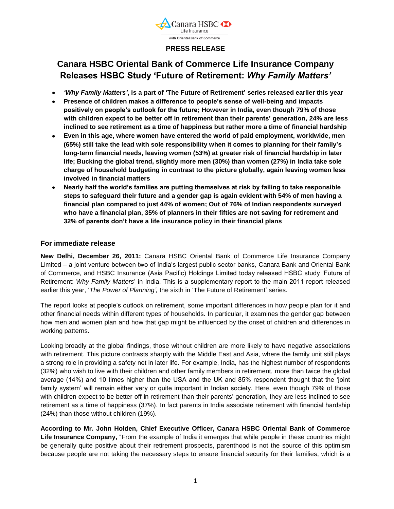

# **PRESS RELEASE**

# **Canara HSBC Oriental Bank of Commerce Life Insurance Company Releases HSBC Study 'Future of Retirement:** *Why Family Matters'*

- *'Why Family Matters'***, is a part of 'The Future of Retirement' series released earlier this year**
- **Presence of children makes a difference to people's sense of well-being and impacts positively on people's outlook for the future; However in India, even though 79% of those with children expect to be better off in retirement than their parents' generation, 24% are less inclined to see retirement as a time of happiness but rather more a time of financial hardship**
- **Even in this age, where women have entered the world of paid employment, worldwide, men (65%) still take the lead with sole responsibility when it comes to planning for their family's long-term financial needs, leaving women (53%) at greater risk of financial hardship in later life; Bucking the global trend, slightly more men (30%) than women (27%) in India take sole charge of household budgeting in contrast to the picture globally, again leaving women less involved in financial matters**
- **Nearly half the world's families are putting themselves at risk by failing to take responsible**   $\bullet$ **steps to safeguard their future and a gender gap is again evident with 54% of men having a financial plan compared to just 44% of women; Out of 76% of Indian respondents surveyed who have a financial plan, 35% of planners in their fifties are not saving for retirement and 32% of parents don't have a life insurance policy in their financial plans**

## **For immediate release**

**New Delhi, December 26, 2011:** Canara HSBC Oriental Bank of Commerce Life Insurance Company Limited – a joint venture between two of India"s largest public sector banks, Canara Bank and Oriental Bank of Commerce, and HSBC Insurance (Asia Pacific) Holdings Limited today released HSBC study "Future of Retirement: *Why Family Matters*" in India. This is a supplementary report to the main 2011 report released earlier this year, "*The Power of Planning',* the sixth in "The Future of Retirement" series.

The report looks at people"s outlook on retirement, some important differences in how people plan for it and other financial needs within different types of households. In particular, it examines the gender gap between how men and women plan and how that gap might be influenced by the onset of children and differences in working patterns.

Looking broadly at the global findings, those without children are more likely to have negative associations with retirement. This picture contrasts sharply with the Middle East and Asia, where the family unit still plays a strong role in providing a safety net in later life. For example, India, has the highest number of respondents (32%) who wish to live with their children and other family members in retirement, more than twice the global average (14%) and 10 times higher than the USA and the UK and 85% respondent thought that the "joint family system" will remain either very or quite important in Indian society. Here, even though 79% of those with children expect to be better off in retirement than their parents" generation, they are less inclined to see retirement as a time of happiness (37%). In fact parents in India associate retirement with financial hardship (24%) than those without children (19%).

**According to Mr. John Holden, Chief Executive Officer, Canara HSBC Oriental Bank of Commerce Life Insurance Company,** "From the example of India it emerges that while people in these countries might be generally quite positive about their retirement prospects, parenthood is not the source of this optimism because people are not taking the necessary steps to ensure financial security for their families, which is a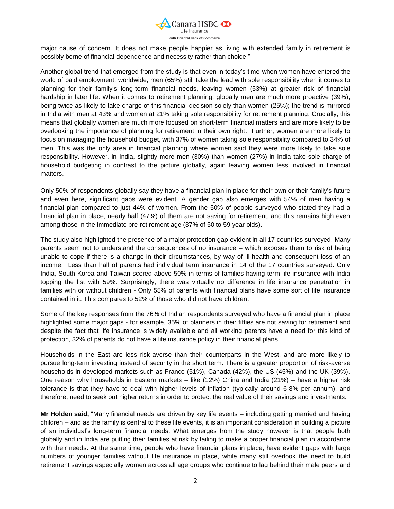

major cause of concern. It does not make people happier as living with extended family in retirement is possibly borne of financial dependence and necessity rather than choice."

Another global trend that emerged from the study is that even in today"s time when women have entered the world of paid employment, worldwide, men (65%) still take the lead with sole responsibility when it comes to planning for their family"s long-term financial needs, leaving women (53%) at greater risk of financial hardship in later life. When it comes to retirement planning, globally men are much more proactive (39%), being twice as likely to take charge of this financial decision solely than women (25%); the trend is mirrored in India with men at 43% and women at 21% taking sole responsibility for retirement planning. Crucially, this means that globally women are much more focused on short-term financial matters and are more likely to be overlooking the importance of planning for retirement in their own right. Further, women are more likely to focus on managing the household budget, with 37% of women taking sole responsibility compared to 34% of men. This was the only area in financial planning where women said they were more likely to take sole responsibility. However, in India, slightly more men (30%) than women (27%) in India take sole charge of household budgeting in contrast to the picture globally, again leaving women less involved in financial matters.

Only 50% of respondents globally say they have a financial plan in place for their own or their family"s future and even here, significant gaps were evident. A gender gap also emerges with 54% of men having a financial plan compared to just 44% of women. From the 50% of people surveyed who stated they had a financial plan in place, nearly half (47%) of them are not saving for retirement, and this remains high even among those in the immediate pre-retirement age (37% of 50 to 59 year olds).

The study also highlighted the presence of a major protection gap evident in all 17 countries surveyed. Many parents seem not to understand the consequences of no insurance – which exposes them to risk of being unable to cope if there is a change in their circumstances, by way of ill health and consequent loss of an income. Less than half of parents had individual term insurance in 14 of the 17 countries surveyed. Only India, South Korea and Taiwan scored above 50% in terms of families having term life insurance with India topping the list with 59%. Surprisingly, there was virtually no difference in life insurance penetration in families with or without children - Only 55% of parents with financial plans have some sort of life insurance contained in it. This compares to 52% of those who did not have children.

Some of the key responses from the 76% of Indian respondents surveyed who have a financial plan in place highlighted some major gaps - for example, 35% of planners in their fifties are not saving for retirement and despite the fact that life insurance is widely available and all working parents have a need for this kind of protection, 32% of parents do not have a life insurance policy in their financial plans.

Households in the East are less risk-averse than their counterparts in the West, and are more likely to pursue long-term investing instead of security in the short term. There is a greater proportion of risk-averse households in developed markets such as France (51%), Canada (42%), the US (45%) and the UK (39%). One reason why households in Eastern markets – like (12%) China and India (21%) – have a higher risk tolerance is that they have to deal with higher levels of inflation (typically around 6-8% per annum), and therefore, need to seek out higher returns in order to protect the real value of their savings and investments.

**Mr Holden said,** "Many financial needs are driven by key life events – including getting married and having children – and as the family is central to these life events, it is an important consideration in building a picture of an individual"s long-term financial needs. What emerges from the study however is that people both globally and in India are putting their families at risk by failing to make a proper financial plan in accordance with their needs. At the same time, people who have financial plans in place, have evident gaps with large numbers of younger families without life insurance in place, while many still overlook the need to build retirement savings especially women across all age groups who continue to lag behind their male peers and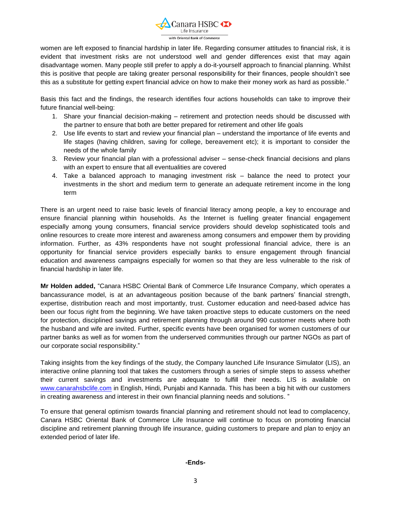

women are left exposed to financial hardship in later life. Regarding consumer attitudes to financial risk, it is evident that investment risks are not understood well and gender differences exist that may again disadvantage women. Many people still prefer to apply a do-it-yourself approach to financial planning. Whilst this is positive that people are taking greater personal responsibility for their finances, people shouldn"t see this as a substitute for getting expert financial advice on how to make their money work as hard as possible."

Basis this fact and the findings, the research identifies four actions households can take to improve their future financial well-being:

- 1. Share your financial decision-making retirement and protection needs should be discussed with the partner to ensure that both are better prepared for retirement and other life goals
- 2. Use life events to start and review your financial plan understand the importance of life events and life stages (having children, saving for college, bereavement etc); it is important to consider the needs of the whole family
- 3. Review your financial plan with a professional adviser sense-check financial decisions and plans with an expert to ensure that all eventualities are covered
- 4. Take a balanced approach to managing investment risk balance the need to protect your investments in the short and medium term to generate an adequate retirement income in the long term

There is an urgent need to raise basic levels of financial literacy among people, a key to encourage and ensure financial planning within households. As the Internet is fuelling greater financial engagement especially among young consumers, financial service providers should develop sophisticated tools and online resources to create more interest and awareness among consumers and empower them by providing information. Further, as 43% respondents have not sought professional financial advice, there is an opportunity for financial service providers especially banks to ensure engagement through financial education and awareness campaigns especially for women so that they are less vulnerable to the risk of financial hardship in later life.

**Mr Holden added,** "Canara HSBC Oriental Bank of Commerce Life Insurance Company, which operates a bancassurance model, is at an advantageous position because of the bank partners" financial strength, expertise, distribution reach and most importantly, trust. Customer education and need-based advice has been our focus right from the beginning. We have taken proactive steps to educate customers on the need for protection, disciplined savings and retirement planning through around 990 customer meets where both the husband and wife are invited. Further, specific events have been organised for women customers of our partner banks as well as for women from the underserved communities through our partner NGOs as part of our corporate social responsibility."

Taking insights from the key findings of the study, the Company launched Life Insurance Simulator (LIS), an interactive online planning tool that takes the customers through a series of simple steps to assess whether their current savings and investments are adequate to fulfill their needs. LIS is available on [www.canarahsbclife.com](http://www.canarahsbclife.com/) in English, Hindi, Punjabi and Kannada. This has been a big hit with our customers in creating awareness and interest in their own financial planning needs and solutions. "

To ensure that general optimism towards financial planning and retirement should not lead to complacency, Canara HSBC Oriental Bank of Commerce Life Insurance will continue to focus on promoting financial discipline and retirement planning through life insurance, guiding customers to prepare and plan to enjoy an extended period of later life.

#### **-Ends-**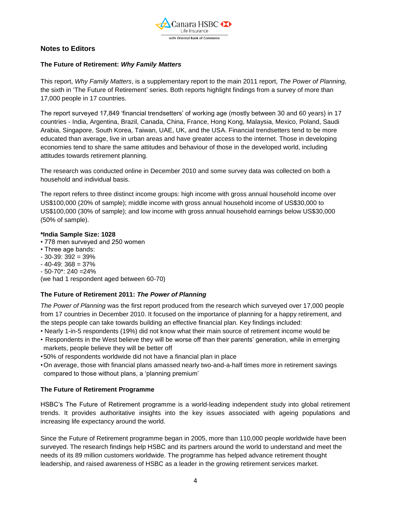

# **Notes to Editors**

#### **The Future of Retirement:** *Why Family Matters*

This report, *Why Family Matters*, is a supplementary report to the main 2011 report, *The Power of Planning,* the sixth in "The Future of Retirement" series. Both reports highlight findings from a survey of more than 17,000 people in 17 countries.

The report surveyed 17,849 "financial trendsetters" of working age (mostly between 30 and 60 years) in 17 countries - India, Argentina, Brazil, Canada, China, France, Hong Kong, Malaysia, Mexico, Poland, Saudi Arabia, Singapore, South Korea, Taiwan, UAE, UK, and the USA. Financial trendsetters tend to be more educated than average, live in urban areas and have greater access to the internet. Those in developing economies tend to share the same attitudes and behaviour of those in the developed world, including attitudes towards retirement planning.

The research was conducted online in December 2010 and some survey data was collected on both a household and individual basis.

The report refers to three distinct income groups: high income with gross annual household income over US\$100,000 (20% of sample); middle income with gross annual household income of US\$30,000 to US\$100,000 (30% of sample); and low income with gross annual household earnings below US\$30,000 (50% of sample).

#### **\*India Sample Size: 1028**

- 778 men surveyed and 250 women
- Three age bands:
- $-30-39:392 = 39%$
- $-40-49$ : 368 = 37%
- $-50-70$ \*: 240 = 24%

(we had 1 respondent aged between 60-70)

## **The Future of Retirement 2011:** *The Power of Planning*

*The Power of Planning* was the first report produced from the research which surveyed over 17,000 people from 17 countries in December 2010. It focused on the importance of planning for a happy retirement, and the steps people can take towards building an effective financial plan. Key findings included:

- Nearly 1-in-5 respondents (19%) did not know what their main source of retirement income would be
- Respondents in the West believe they will be worse off than their parents" generation, while in emerging markets, people believe they will be better off
- •50% of respondents worldwide did not have a financial plan in place
- •On average, those with financial plans amassed nearly two-and-a-half times more in retirement savings compared to those without plans, a "planning premium"

## **The Future of Retirement Programme**

HSBC"s The Future of Retirement programme is a world-leading independent study into global retirement trends. It provides authoritative insights into the key issues associated with ageing populations and increasing life expectancy around the world.

Since the Future of Retirement programme began in 2005, more than 110,000 people worldwide have been surveyed. The research findings help HSBC and its partners around the world to understand and meet the needs of its 89 million customers worldwide. The programme has helped advance retirement thought leadership, and raised awareness of HSBC as a leader in the growing retirement services market.